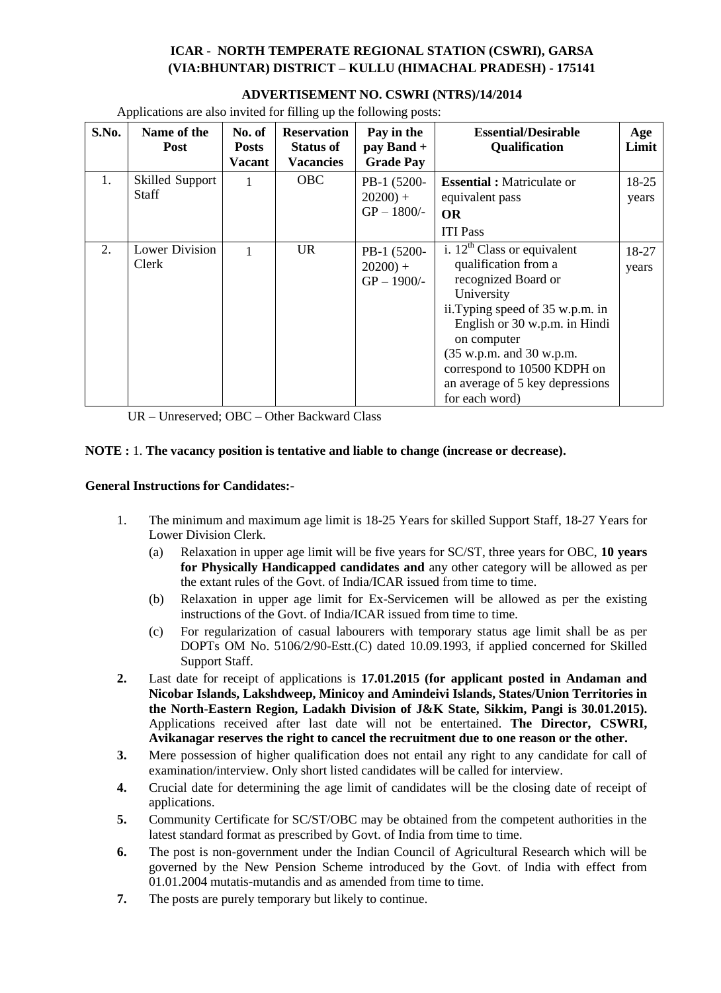## **ICAR - NORTH TEMPERATE REGIONAL STATION (CSWRI), GARSA (VIA:BHUNTAR) DISTRICT – KULLU (HIMACHAL PRADESH) - 175141**

| S.No. | Name of the<br>Post             | No. of<br><b>Posts</b><br><b>Vacant</b> | <b>Reservation</b><br><b>Status of</b><br><b>Vacancies</b> | Pay in the<br>pay Band +<br><b>Grade Pay</b> | <b>Essential/Desirable</b><br>Qualification                                                                                                                                                                                                                                                       | Age<br>Limit   |
|-------|---------------------------------|-----------------------------------------|------------------------------------------------------------|----------------------------------------------|---------------------------------------------------------------------------------------------------------------------------------------------------------------------------------------------------------------------------------------------------------------------------------------------------|----------------|
| 1.    | Skilled Support<br><b>Staff</b> |                                         | <b>OBC</b>                                                 | PB-1 (5200-<br>$20200$ +<br>$GP - 1800/$ -   | <b>Essential : Matriculate or</b><br>equivalent pass<br><b>OR</b><br><b>ITI Pass</b>                                                                                                                                                                                                              | 18-25<br>years |
| 2.    | <b>Lower Division</b><br>Clerk  |                                         | <b>UR</b>                                                  | PB-1 (5200-<br>$20200$ +<br>$GP - 1900/-$    | i. $12^{th}$ Class or equivalent<br>qualification from a<br>recognized Board or<br>University<br>ii. Typing speed of 35 w.p.m. in<br>English or 30 w.p.m. in Hindi<br>on computer<br>(35 w.p.m. and 30 w.p.m.<br>correspond to 10500 KDPH on<br>an average of 5 key depressions<br>for each word) | 18-27<br>years |

**ADVERTISEMENT NO. CSWRI (NTRS)/14/2014**

Applications are also invited for filling up the following posts:

UR – Unreserved; OBC – Other Backward Class

## **NOTE :** 1. **The vacancy position is tentative and liable to change (increase or decrease).**

### **General Instructions for Candidates:-**

- 1. The minimum and maximum age limit is 18-25 Years for skilled Support Staff, 18-27 Years for Lower Division Clerk.
	- (a) Relaxation in upper age limit will be five years for SC/ST, three years for OBC, **10 years for Physically Handicapped candidates and** any other category will be allowed as per the extant rules of the Govt. of India/ICAR issued from time to time.
	- (b) Relaxation in upper age limit for Ex-Servicemen will be allowed as per the existing instructions of the Govt. of India/ICAR issued from time to time.
	- (c) For regularization of casual labourers with temporary status age limit shall be as per DOPTs OM No. 5106/2/90-Estt.(C) dated 10.09.1993, if applied concerned for Skilled Support Staff.
- **2.** Last date for receipt of applications is **17.01.2015 (for applicant posted in Andaman and Nicobar Islands, Lakshdweep, Minicoy and Amindeivi Islands, States/Union Territories in the North-Eastern Region, Ladakh Division of J&K State, Sikkim, Pangi is 30.01.2015).**  Applications received after last date will not be entertained. **The Director, CSWRI, Avikanagar reserves the right to cancel the recruitment due to one reason or the other.**
- **3.** Mere possession of higher qualification does not entail any right to any candidate for call of examination/interview. Only short listed candidates will be called for interview.
- **4.** Crucial date for determining the age limit of candidates will be the closing date of receipt of applications.
- **5.** Community Certificate for SC/ST/OBC may be obtained from the competent authorities in the latest standard format as prescribed by Govt. of India from time to time.
- **6.** The post is non-government under the Indian Council of Agricultural Research which will be governed by the New Pension Scheme introduced by the Govt. of India with effect from 01.01.2004 mutatis-mutandis and as amended from time to time.
- **7.** The posts are purely temporary but likely to continue.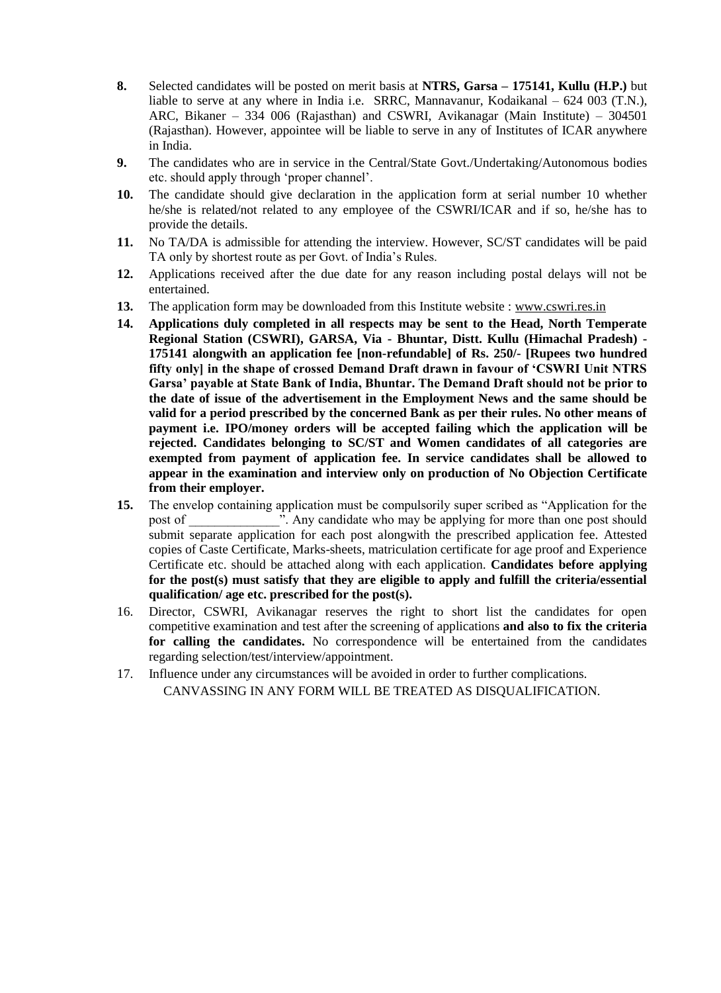- **8.** Selected candidates will be posted on merit basis at **NTRS, Garsa – 175141, Kullu (H.P.)** but liable to serve at any where in India i.e. SRRC, Mannavanur, Kodaikanal – 624 003 (T.N.), ARC, Bikaner – 334 006 (Rajasthan) and CSWRI, Avikanagar (Main Institute) – 304501 (Rajasthan). However, appointee will be liable to serve in any of Institutes of ICAR anywhere in India.
- **9.** The candidates who are in service in the Central/State Govt./Undertaking/Autonomous bodies etc. should apply through 'proper channel'.
- **10.** The candidate should give declaration in the application form at serial number 10 whether he/she is related/not related to any employee of the CSWRI/ICAR and if so, he/she has to provide the details.
- **11.** No TA/DA is admissible for attending the interview. However, SC/ST candidates will be paid TA only by shortest route as per Govt. of India's Rules.
- **12.** Applications received after the due date for any reason including postal delays will not be entertained.
- **13.** The application form may be downloaded from this Institute website : www.cswri.res.in
- **14. Applications duly completed in all respects may be sent to the Head, North Temperate Regional Station (CSWRI), GARSA, Via - Bhuntar, Distt. Kullu (Himachal Pradesh) - 175141 alongwith an application fee [non-refundable] of Rs. 250/- [Rupees two hundred fifty only] in the shape of crossed Demand Draft drawn in favour of 'CSWRI Unit NTRS Garsa' payable at State Bank of India, Bhuntar. The Demand Draft should not be prior to the date of issue of the advertisement in the Employment News and the same should be valid for a period prescribed by the concerned Bank as per their rules. No other means of payment i.e. IPO/money orders will be accepted failing which the application will be rejected. Candidates belonging to SC/ST and Women candidates of all categories are exempted from payment of application fee. In service candidates shall be allowed to appear in the examination and interview only on production of No Objection Certificate from their employer.**
- **15.** The envelop containing application must be compulsorily super scribed as "Application for the post of Table 1. Any candidate who may be applying for more than one post should submit separate application for each post alongwith the prescribed application fee. Attested copies of Caste Certificate, Marks-sheets, matriculation certificate for age proof and Experience Certificate etc. should be attached along with each application. **Candidates before applying for the post(s) must satisfy that they are eligible to apply and fulfill the criteria/essential qualification/ age etc. prescribed for the post(s).**
- 16. Director, CSWRI, Avikanagar reserves the right to short list the candidates for open competitive examination and test after the screening of applications **and also to fix the criteria for calling the candidates.** No correspondence will be entertained from the candidates regarding selection/test/interview/appointment.
- 17. Influence under any circumstances will be avoided in order to further complications. CANVASSING IN ANY FORM WILL BE TREATED AS DISQUALIFICATION.